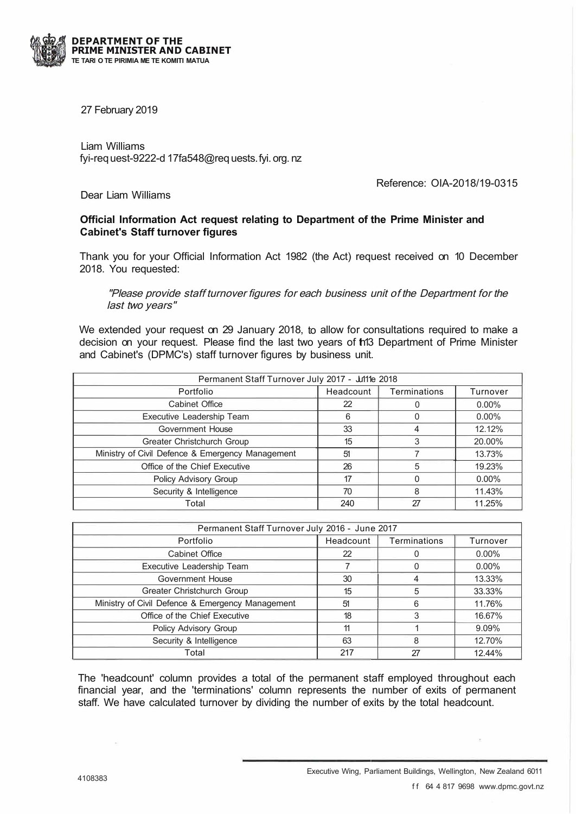

27 February 2019

Liam Williams fyi-req uest-9222-d 17fa548@req uests. fyi. org. nz

Reference: OIA-2018/19-0315

Dear Liam Williams

## **Official Information Act request relating to Department of the Prime Minister and Cabinet's Staff turnover figures**

Thank you for your Official Information Act 1982 (the Act) request received on 10 December 2018. You requested:

"Please provide staff turnover figures for each business unit of the Department for the last two years"

We extended your request on 29 January 2018, to allow for consultations required to make a decision on your request. Please find the last two years of th13 Department of Prime Minister and Cabinet's (DPMC's) staff turnover figures by business unit.

| Permanent Staff Turnover July 2017 - Julie 2018  |           |                     |          |  |
|--------------------------------------------------|-----------|---------------------|----------|--|
| Portfolio                                        | Headcount | <b>Terminations</b> | Turnover |  |
| <b>Cabinet Office</b>                            | 22        |                     | $0.00\%$ |  |
| Executive Leadership Team                        | 6         |                     | $0.00\%$ |  |
| Government House                                 | 33        |                     | 12.12%   |  |
| Greater Christchurch Group                       | 15        | 3                   | 20.00%   |  |
| Ministry of Civil Defence & Emergency Management | 51        |                     | 13.73%   |  |
| Office of the Chief Executive                    | 26        | 5                   | 19.23%   |  |
| Policy Advisory Group                            | 17        |                     | $0.00\%$ |  |
| Security & Intelligence                          | 70        | 8                   | 11.43%   |  |
| Total                                            | 240       | 27                  | 11.25%   |  |

| Permanent Staff Turnover July 2016 - June 2017   |           |              |          |  |
|--------------------------------------------------|-----------|--------------|----------|--|
| Portfolio                                        | Headcount | Terminations | Turnover |  |
| Cabinet Office                                   | 22        |              | $0.00\%$ |  |
| Executive Leadership Team                        |           |              | $0.00\%$ |  |
| Government House                                 | 30        |              | 13.33%   |  |
| Greater Christchurch Group                       | 15        | 5            | 33.33%   |  |
| Ministry of Civil Defence & Emergency Management | 51        | 6            | 11.76%   |  |
| Office of the Chief Executive                    | 18        | 3            | 16.67%   |  |
| Policy Advisory Group                            | 11        |              | 9.09%    |  |
| Security & Intelligence                          | 63        | 8            | 12.70%   |  |
| Total                                            | 217       | 27           | 12.44%   |  |

The 'headcount' column provides a total of the permanent staff employed throughout each financial year, and the 'terminations' column represents the number of exits of permanent staff. We have calculated turnover by dividing the number of exits by the total headcount.